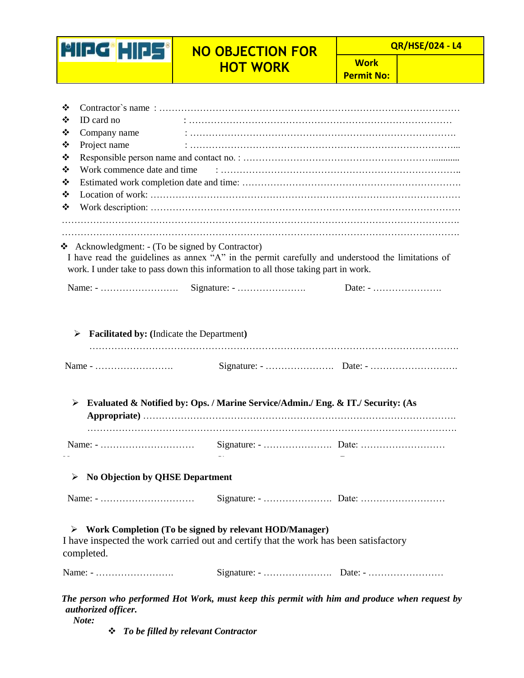

## **NO OBJECTION FOR HOT WORK**

 **QR/HSE/024 - L4**

**Work Permit No:**

| ❖ |                                                  |                                                                                                                                                                                         |                                                                                               |  |  |  |
|---|--------------------------------------------------|-----------------------------------------------------------------------------------------------------------------------------------------------------------------------------------------|-----------------------------------------------------------------------------------------------|--|--|--|
| ❖ | ID card no                                       |                                                                                                                                                                                         |                                                                                               |  |  |  |
| ❖ | Company name                                     |                                                                                                                                                                                         |                                                                                               |  |  |  |
| ❖ | Project name                                     |                                                                                                                                                                                         |                                                                                               |  |  |  |
| ❖ |                                                  |                                                                                                                                                                                         |                                                                                               |  |  |  |
| ❖ |                                                  |                                                                                                                                                                                         |                                                                                               |  |  |  |
| ❖ |                                                  |                                                                                                                                                                                         |                                                                                               |  |  |  |
| ❖ |                                                  |                                                                                                                                                                                         |                                                                                               |  |  |  |
| ❖ |                                                  |                                                                                                                                                                                         |                                                                                               |  |  |  |
|   |                                                  |                                                                                                                                                                                         |                                                                                               |  |  |  |
| ❖ | Acknowledgment: - (To be signed by Contractor)   | I have read the guidelines as annex "A" in the permit carefully and understood the limitations of<br>work. I under take to pass down this information to all those taking part in work. |                                                                                               |  |  |  |
|   | ➤                                                | Evaluated & Notified by: Ops. / Marine Service/Admin./ Eng. & IT./ Security: (As                                                                                                        |                                                                                               |  |  |  |
|   |                                                  |                                                                                                                                                                                         |                                                                                               |  |  |  |
|   | $\triangleright$ No Objection by QHSE Department |                                                                                                                                                                                         |                                                                                               |  |  |  |
|   |                                                  |                                                                                                                                                                                         |                                                                                               |  |  |  |
|   | ➤<br>completed.                                  | Work Completion (To be signed by relevant HOD/Manager)<br>I have inspected the work carried out and certify that the work has been satisfactory                                         |                                                                                               |  |  |  |
|   | Name: -                                          |                                                                                                                                                                                         |                                                                                               |  |  |  |
|   | authorized officer.<br>Note:                     |                                                                                                                                                                                         | The person who performed Hot Work, must keep this permit with him and produce when request by |  |  |  |

*To be filled by relevant Contractor*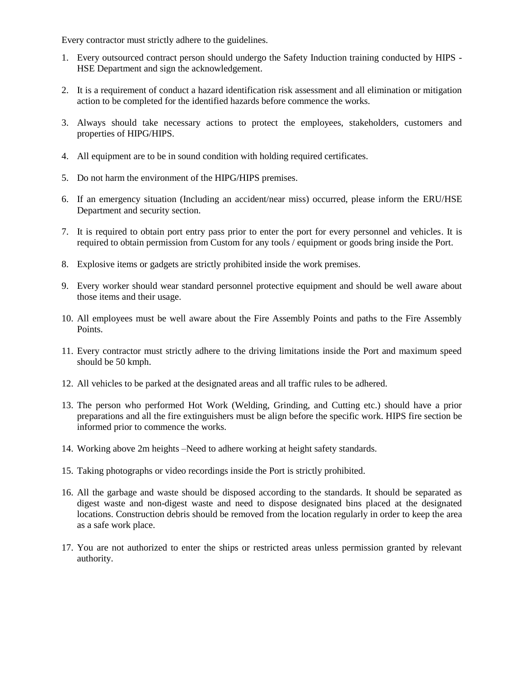Every contractor must strictly adhere to the guidelines.

- 1. Every outsourced contract person should undergo the Safety Induction training conducted by HIPS HSE Department and sign the acknowledgement.
- 2. It is a requirement of conduct a hazard identification risk assessment and all elimination or mitigation action to be completed for the identified hazards before commence the works.
- 3. Always should take necessary actions to protect the employees, stakeholders, customers and properties of HIPG/HIPS.
- 4. All equipment are to be in sound condition with holding required certificates.
- 5. Do not harm the environment of the HIPG/HIPS premises.
- 6. If an emergency situation (Including an accident/near miss) occurred, please inform the ERU/HSE Department and security section.
- 7. It is required to obtain port entry pass prior to enter the port for every personnel and vehicles. It is required to obtain permission from Custom for any tools / equipment or goods bring inside the Port.
- 8. Explosive items or gadgets are strictly prohibited inside the work premises.
- 9. Every worker should wear standard personnel protective equipment and should be well aware about those items and their usage.
- 10. All employees must be well aware about the Fire Assembly Points and paths to the Fire Assembly Points.
- 11. Every contractor must strictly adhere to the driving limitations inside the Port and maximum speed should be 50 kmph.
- 12. All vehicles to be parked at the designated areas and all traffic rules to be adhered.
- 13. The person who performed Hot Work (Welding, Grinding, and Cutting etc.) should have a prior preparations and all the fire extinguishers must be align before the specific work. HIPS fire section be informed prior to commence the works.
- 14. Working above 2m heights –Need to adhere working at height safety standards.
- 15. Taking photographs or video recordings inside the Port is strictly prohibited.
- 16. All the garbage and waste should be disposed according to the standards. It should be separated as digest waste and non-digest waste and need to dispose designated bins placed at the designated locations. Construction debris should be removed from the location regularly in order to keep the area as a safe work place.
- 17. You are not authorized to enter the ships or restricted areas unless permission granted by relevant authority.